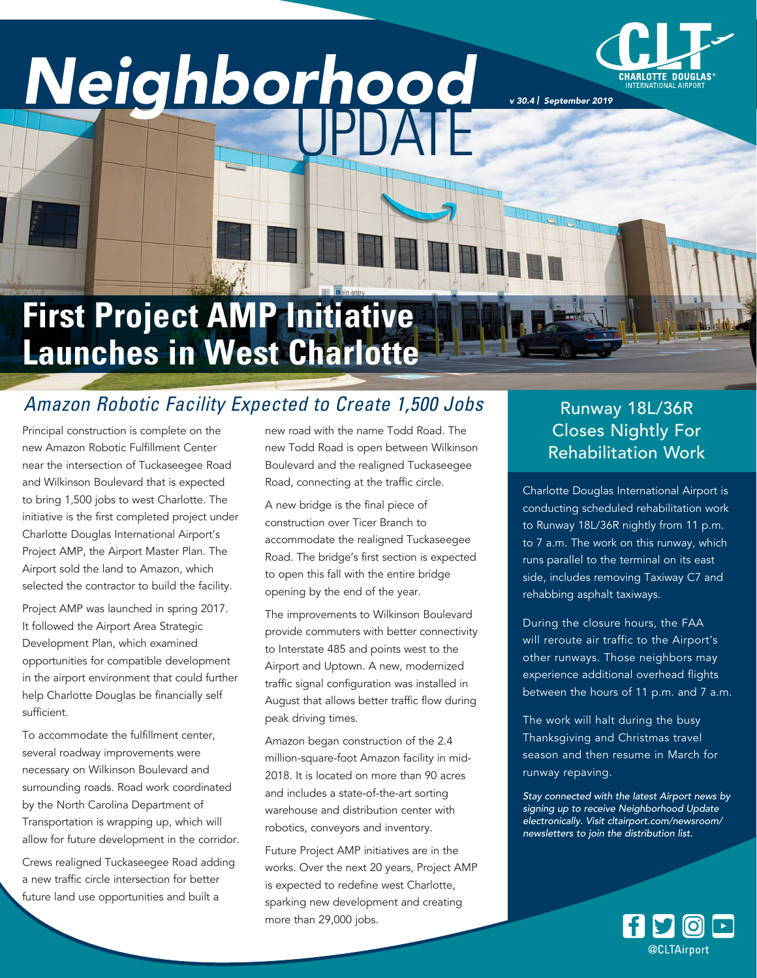

# *Neighborhood v 30.4 | September 2019* UPDATE

### **First Project AMP Initiative Launches in West Charlotte**

#### *Amazon Robotic Facility Expected to Create 1,500 Jobs*

Principal construction is complete on the new Amazon Robotic Fulfillment Center near the intersection of Tuckaseegee Road and Wilkinson Boulevard that is expected to bring 1,500 jobs to west Charlotte. The initiative is the first completed project under Charlotte Douglas International Airport's Project AMP, the Airport Master Plan. The Airport sold the land to Amazon, which selected the contractor to build the facility.

Project AMP was launched in spring 2017. It followed the Airport Area Strategic Development Plan, which examined opportunities for compatible development in the airport environment that could further help Charlotte Douglas be financially self sufficient.

To accommodate the fulfillment center, several roadway improvements were necessary on Wilkinson Boulevard and surrounding roads. Road work coordinated by the North Carolina Department of Transportation is wrapping up, which will allow for future development in the corridor.

Crews realigned Tuckaseegee Road adding a new traffic circle intersection for better future land use opportunities and built a

new road with the name Todd Road. The new Todd Road is open between Wilkinson Boulevard and the realigned Tuckaseegee Road, connecting at the traffic circle.

A new bridge is the final piece of construction over Ticer Branch to accommodate the realigned Tuckaseegee Road. The bridge's first section is expected to open this fall with the entire bridge opening by the end of the year.

The improvements to Wilkinson Boulevard provide commuters with better connectivity to Interstate 485 and points west to the Airport and Uptown. A new, modernized traffic signal configuration was installed in August that allows better traffic flow during peak driving times.

Amazon began construction of the 2.4 million-square-foot Amazon facility in mid-2018. It is located on more than 90 acres and includes a state-of-the-art sorting warehouse and distribution center with robotics, conveyors and inventory.

Future Project AMP initiatives are in the works. Over the next 20 years, Project AMP is expected to redefine west Charlotte, sparking new development and creating more than 29,000 jobs.

#### Runway 18L/36R Closes Nightly For Rehabilitation Work

Charlotte Douglas International Airport is conducting scheduled rehabilitation work to Runway 18L/36R nightly from 11 p.m. to 7 a.m. The work on this runway, which runs parallel to the terminal on its east side, includes removing Taxiway C7 and rehabbing asphalt taxiways.

During the closure hours, the FAA will reroute air traffic to the Airport's other runways. Those neighbors may experience additional overhead flights between the hours of 11 p.m. and 7 a.m.

The work will halt during the busy Thanksgiving and Christmas travel season and then resume in March for runway repaving.

*Stay connected with the latest Airport news by signing up to receive Neighborhood Update electronically. Visit [cltairport.com/newsroom/](http://cltairport.com/newsroom/newsletters/) [newsletters](http://cltairport.com/newsroom/newsletters/) to join the distribution list.*